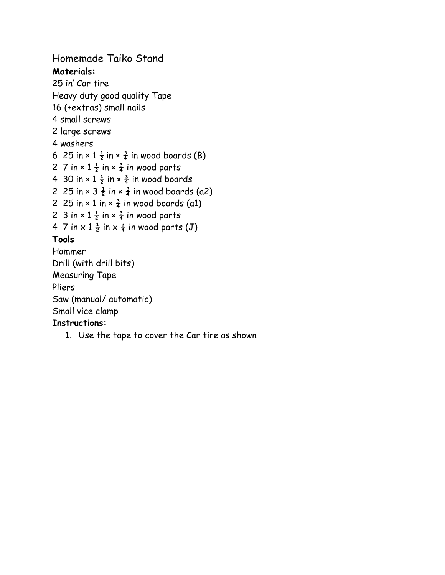## Homemade Taiko Stand

**Materials:** 25 in' Car tire Heavy duty good quality Tape 16 (+extras) small nails 4 small screws 2 large screws 4 washers 6 25 in  $\times$  1  $\frac{1}{2}$  in  $\times$   $\frac{3}{4}$  in wood boards (B) 2 7 in  $\times$  1  $\frac{1}{2}$  in  $\times$   $\frac{3}{4}$  in wood parts 4 30 in  $\times$  1  $\frac{1}{2}$  in  $\times$   $\frac{3}{4}$  in wood boards 2 25 in  $\times$  3  $\frac{1}{2}$  in  $\times$   $\frac{3}{4}$  in wood boards (a2) 2 25 in  $\times$  1 in  $\times$   $\frac{3}{4}$  in wood boards (a1)

- 2 3 in  $\times$  1  $\frac{1}{2}$  in  $\times$   $\frac{3}{4}$  in wood parts
- 4 7 in  $\times$  1  $\frac{1}{2}$  in  $\times$   $\frac{3}{4}$  in wood parts (J)

## **Tools**

Hammer Drill (with drill bits) Measuring Tape Pliers Saw (manual/ automatic) Small vice clamp

## **Instructions:**

1. Use the tape to cover the Car tire as shown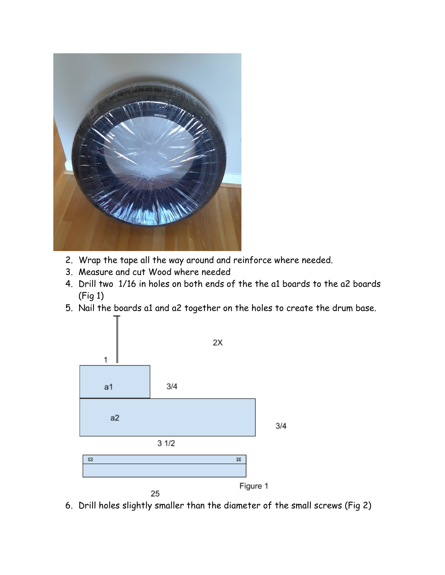

- 2. Wrap the tape all the way around and reinforce where needed.
- 3. Measure and cut Wood where needed
- 4. Drill two 1/16 in holes on both ends of the the a1 boards to the a2 boards (Fig 1)
- 5. Nail the boards a1 and a2 together on the holes to create the drum base.



6. Drill holes slightly smaller than the diameter of the small screws (Fig 2)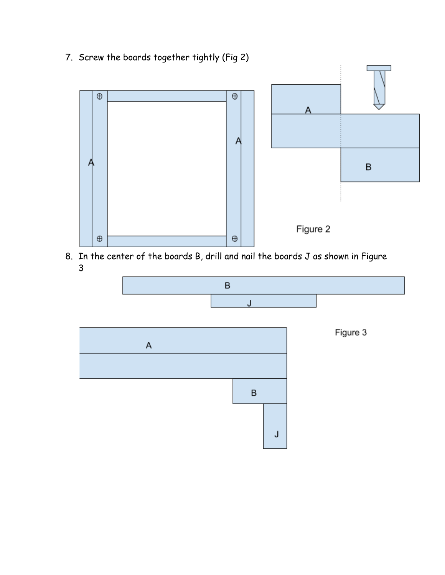7. Screw the boards together tightly (Fig 2)



8. In the center of the boards B, drill and nail the boards J as shown in Figure 3

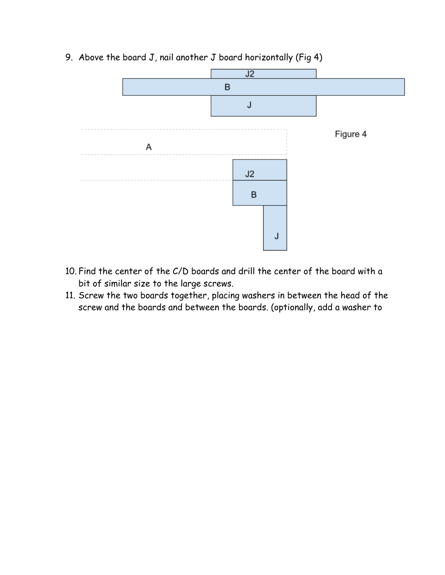

9. Above the board J, nail another J board horizontally (Fig 4)

- 10. Find the center of the C/D boards and drill the center of the board with a bit of similar size to the large screws.
- 11. Screw the two boards together, placing washers in between the head of the screw and the boards and between the boards. (optionally, add a washer to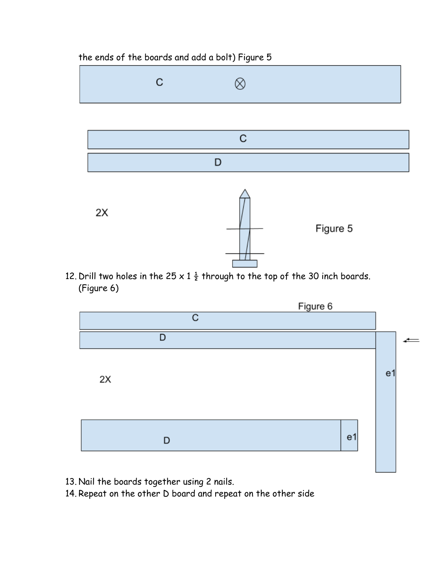## the ends of the boards and add a bolt) Figure 5



12. Drill two holes in the 25 x 1  $\frac{1}{2}$  through to the top of the 30 inch boards. (Figure 6)



- 13. Nail the boards together using 2 nails.
- 14. Repeat on the other D board and repeat on the other side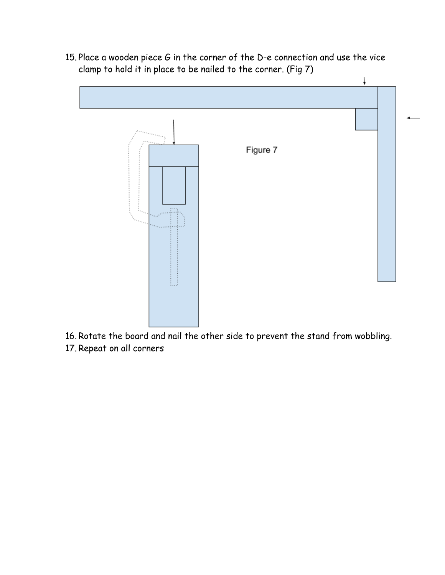15. Place a wooden piece G in the corner of the D-e connection and use the vice clamp to hold it in place to be nailed to the corner. (Fig 7)



- 16. Rotate the board and nail the other side to prevent the stand from wobbling.
- 17. Repeat on all corners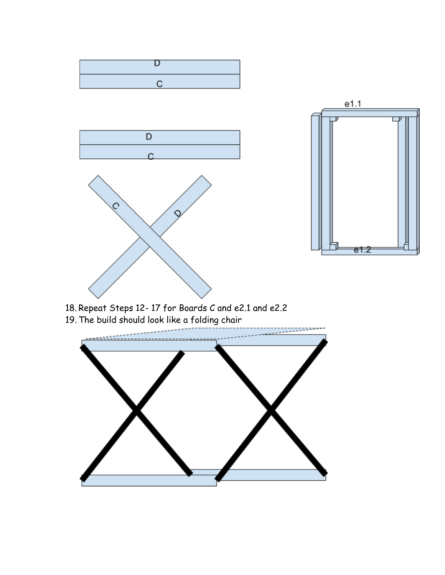

- 18. Repeat Steps 12- 17 for Boards C and e2.1 and e2.2
- 19. The build should look like a folding chair

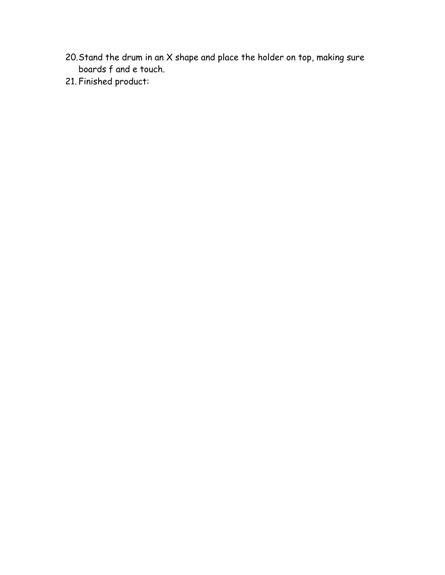- 20.Stand the drum in an X shape and place the holder on top, making sure boards f and e touch.
- 21. Finished product: